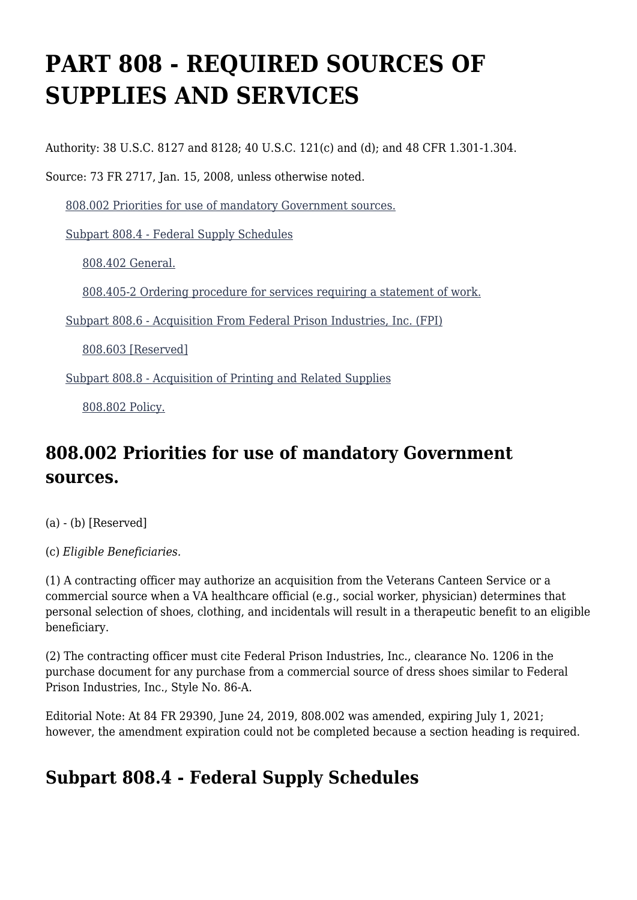# **PART 808 - REQUIRED SOURCES OF SUPPLIES AND SERVICES**

Authority: 38 U.S.C. 8127 and 8128; 40 U.S.C. 121(c) and (d); and 48 CFR 1.301-1.304.

Source: 73 FR 2717, Jan. 15, 2008, unless otherwise noted.

[808.002 Priorities for use of mandatory Government sources.](https://www.acquisition.gov/%5Brp:link:vaar-part-808%5D#Section_808_002_T48_502109011)

[Subpart 808.4 - Federal Supply Schedules](https://www.acquisition.gov/%5Brp:link:vaar-part-808%5D#Subpart_808_4_T48_5021091)

[808.402 General.](https://www.acquisition.gov/%5Brp:link:vaar-part-808%5D#Section_808_402_T48_502109111)

[808.405-2 Ordering procedure for services requiring a statement of work.](https://www.acquisition.gov/%5Brp:link:vaar-part-808%5D#Section_808_405_2_T48_502109112)

[Subpart 808.6 - Acquisition From Federal Prison Industries, Inc. \(FPI\)](https://www.acquisition.gov/%5Brp:link:vaar-part-808%5D#Subpart_808_6_T48_5021092)

[808.603 \[Reserved\]](https://www.acquisition.gov/%5Brp:link:vaar-part-808%5D#Section_808_603_T48_502109211)

[Subpart 808.8 - Acquisition of Printing and Related Supplies](https://www.acquisition.gov/%5Brp:link:vaar-part-808%5D#Subpart_808_8_T48_5021093)

[808.802 Policy.](https://www.acquisition.gov/%5Brp:link:vaar-part-808%5D#Section_808_802_T48_502109311)

# **808.002 Priorities for use of mandatory Government sources.**

- (a) (b) [Reserved]
- (c) *Eligible Beneficiaries.*

(1) A contracting officer may authorize an acquisition from the Veterans Canteen Service or a commercial source when a VA healthcare official (e.g., social worker, physician) determines that personal selection of shoes, clothing, and incidentals will result in a therapeutic benefit to an eligible beneficiary.

(2) The contracting officer must cite Federal Prison Industries, Inc., clearance No. 1206 in the purchase document for any purchase from a commercial source of dress shoes similar to Federal Prison Industries, Inc., Style No. 86-A.

Editorial Note: At 84 FR 29390, June 24, 2019, 808.002 was amended, expiring July 1, 2021; however, the amendment expiration could not be completed because a section heading is required.

# **Subpart 808.4 - Federal Supply Schedules**